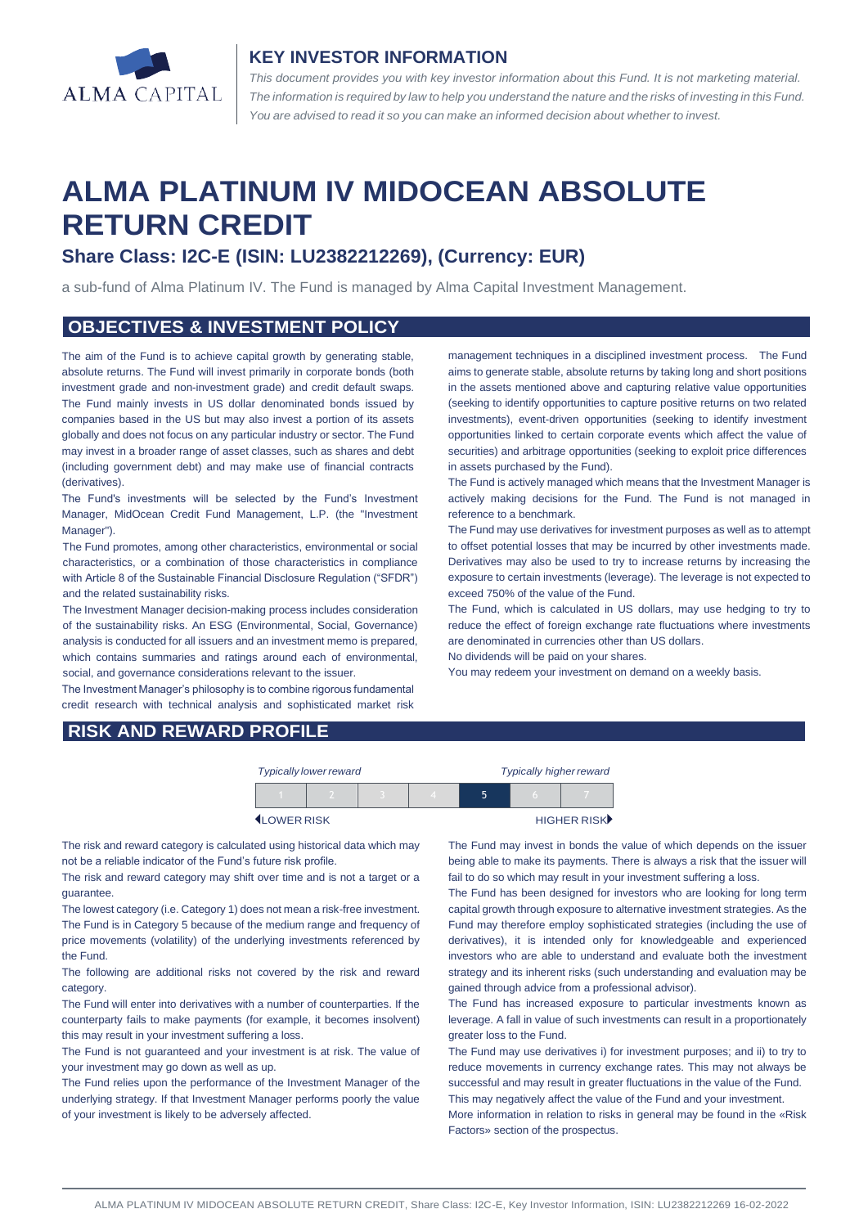

## **KEY INVESTOR INFORMATION**

*This document provides you with key investor information about this Fund. It is not marketing material.*  The information is required by law to help you understand the nature and the risks of investing in this Fund. *You are advised to read it so you can make an informed decision about whether to invest.*

# **ALMA PLATINUM IV MIDOCEAN ABSOLUTE RETURN CREDIT**

## **Share Class: I2C-E (ISIN: LU2382212269), (Currency: EUR)**

a sub-fund of Alma Platinum IV. The Fund is managed by Alma Capital Investment Management.

## **OBJECTIVES & INVESTMENT POLICY**

The aim of the Fund is to achieve capital growth by generating stable, absolute returns. The Fund will invest primarily in corporate bonds (both investment grade and non-investment grade) and credit default swaps. The Fund mainly invests in US dollar denominated bonds issued by companies based in the US but may also invest a portion of its assets globally and does not focus on any particular industry or sector. The Fund may invest in a broader range of asset classes, such as shares and debt (including government debt) and may make use of financial contracts (derivatives).

The Fund's investments will be selected by the Fund's Investment Manager, MidOcean Credit Fund Management, L.P. (the "Investment Manager").

The Fund promotes, among other characteristics, environmental or social characteristics, or a combination of those characteristics in compliance with Article 8 of the Sustainable Financial Disclosure Regulation ("SFDR") and the related sustainability risks.

The Investment Manager decision-making process includes consideration of the sustainability risks. An ESG (Environmental, Social, Governance) analysis is conducted for all issuers and an investment memo is prepared, which contains summaries and ratings around each of environmental, social, and governance considerations relevant to the issuer.

The Investment Manager's philosophy is to combine rigorous fundamental credit research with technical analysis and sophisticated market risk

management techniques in a disciplined investment process. The Fund aims to generate stable, absolute returns by taking long and short positions in the assets mentioned above and capturing relative value opportunities (seeking to identify opportunities to capture positive returns on two related investments), event-driven opportunities (seeking to identify investment opportunities linked to certain corporate events which affect the value of securities) and arbitrage opportunities (seeking to exploit price differences in assets purchased by the Fund).

The Fund is actively managed which means that the Investment Manager is actively making decisions for the Fund. The Fund is not managed in reference to a benchmark.

The Fund may use derivatives for investment purposes as well as to attempt to offset potential losses that may be incurred by other investments made. Derivatives may also be used to try to increase returns by increasing the exposure to certain investments (leverage). The leverage is not expected to exceed 750% of the value of the Fund.

The Fund, which is calculated in US dollars, may use hedging to try to reduce the effect of foreign exchange rate fluctuations where investments are denominated in currencies other than US dollars.

No dividends will be paid on your shares.

You may redeem your investment on demand on a weekly basis.

## **RISK AND REWARD PROFILE**

| <b>Typically lower reward</b> |  |  |  | <b>Typically higher reward</b> |  |             |
|-------------------------------|--|--|--|--------------------------------|--|-------------|
|                               |  |  |  |                                |  |             |
| <b>ILOWER RISK</b>            |  |  |  |                                |  | HIGHER RISK |

The risk and reward category is calculated using historical data which may not be a reliable indicator of the Fund's future risk profile.

The risk and reward category may shift over time and is not a target or a guarantee.

The lowest category (i.e. Category 1) does not mean a risk-free investment. The Fund is in Category 5 because of the medium range and frequency of price movements (volatility) of the underlying investments referenced by the Fund.

The following are additional risks not covered by the risk and reward category.

The Fund will enter into derivatives with a number of counterparties. If the counterparty fails to make payments (for example, it becomes insolvent) this may result in your investment suffering a loss.

The Fund is not guaranteed and your investment is at risk. The value of your investment may go down as well as up.

The Fund relies upon the performance of the Investment Manager of the underlying strategy. If that Investment Manager performs poorly the value of your investment is likely to be adversely affected.

The Fund may invest in bonds the value of which depends on the issuer being able to make its payments. There is always a risk that the issuer will fail to do so which may result in your investment suffering a loss.

The Fund has been designed for investors who are looking for long term capital growth through exposure to alternative investment strategies. As the Fund may therefore employ sophisticated strategies (including the use of derivatives), it is intended only for knowledgeable and experienced investors who are able to understand and evaluate both the investment strategy and its inherent risks (such understanding and evaluation may be gained through advice from a professional advisor).

The Fund has increased exposure to particular investments known as leverage. A fall in value of such investments can result in a proportionately greater loss to the Fund.

The Fund may use derivatives i) for investment purposes; and ii) to try to reduce movements in currency exchange rates. This may not always be successful and may result in greater fluctuations in the value of the Fund. This may negatively affect the value of the Fund and your investment.

More information in relation to risks in general may be found in the «Risk Factors» section of the prospectus.